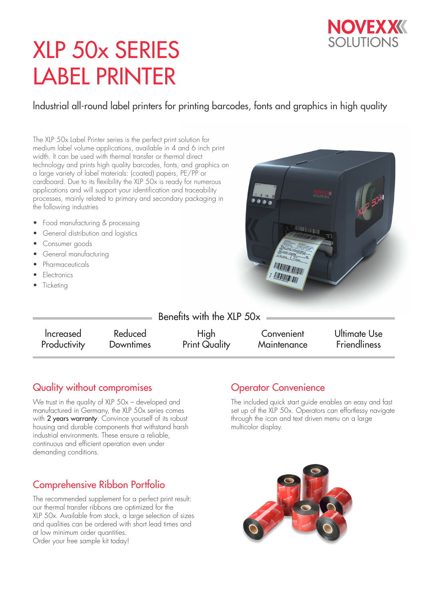

# XLP 50x SERIES LABEL PRINTER

lndustrial all-round label printers for printing barcodes, fonts and graphics in high quality

The XLP 50x Label Printer series is the perfect print solution for medium label volume applications, available in 4 and 6 inch print width. lt can be used with thermal transfer or thermal direct technology and prints high quality barcodes, fonts, and graphics on a large variety of label materials: (coated) papers, PE/PP or cardboard. Due to its flexibility the XLP 50x is ready for numerous applications and will support your identification and traceability processes, mainly related to primary and secondary packaging in the following industries

- Food manufacturing & processing
- General distribution and logistics
- Consumer goods
- General manufacturing
- Pharmaceuticals
- Electronics
- **Ticketing**



| Benefits with the XLP 50x |                  |                      |             |                     |
|---------------------------|------------------|----------------------|-------------|---------------------|
| Increased                 | Reduced          | High                 | Convenient  | Ultimate Use        |
| Productivity              | <b>Downtimes</b> | <b>Print Quality</b> | Maintenance | <b>Friendliness</b> |

## Quality without compromises

We trust in the quality of XLP 50x – developed and manufactured in Germany, the XLP 50x series comes with 2 years warranty. Convince yourself of its robust housing and durable components that withstand harsh industrial environments. These ensure a reliable, continuous and efficient operation even under demanding conditions.

## Comprehensive Ribbon Portfolio

The recommended supplement for a perfect print result: our thermal transfer ribbons are optimized for the XLP 50x. Available from stock, a large selection of sizes and qualities can be ordered with short lead times and at low minimum order quantities. Order your free sample kit today!

### Operator Convenience

The included quick start guide enables an easy and fast set up of the XLP 50x. Operators can effortlessy navigate through the icon and text driven menu on a large multicolor display.